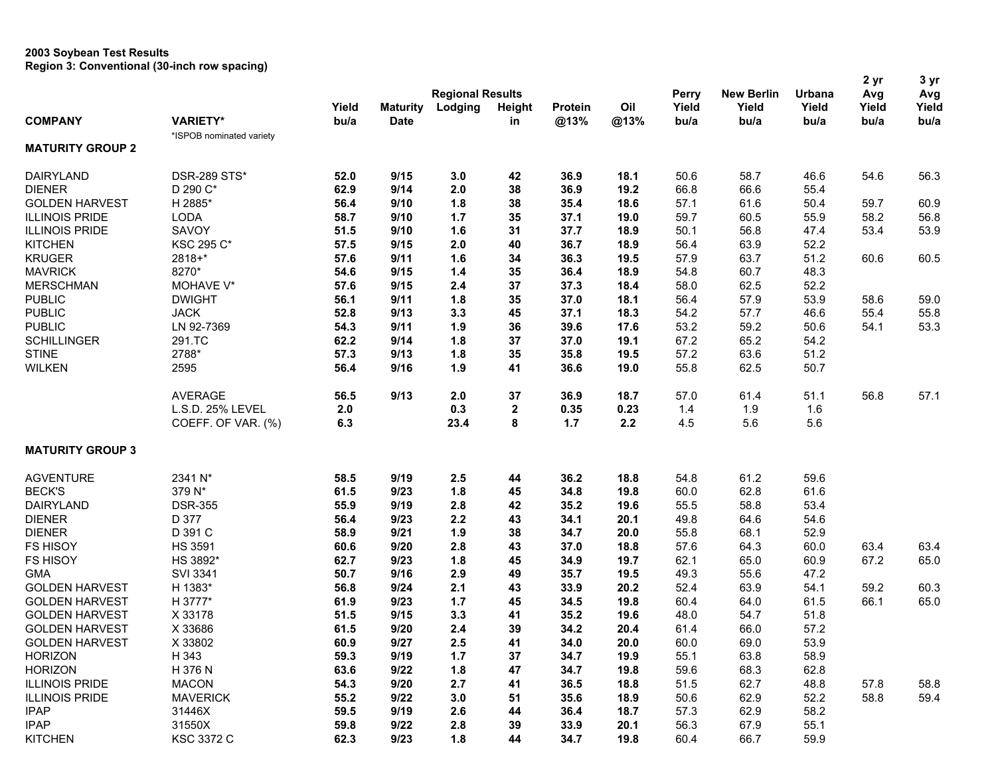## **2003 Soybean Test Results Region 3: Conventional (30-inch row spacing)**

|                         |                          |                         |                 |            |              |         |      |              |                   |        | 2 yr  | 3 yr  |
|-------------------------|--------------------------|-------------------------|-----------------|------------|--------------|---------|------|--------------|-------------------|--------|-------|-------|
|                         |                          | <b>Regional Results</b> |                 |            |              |         |      | <b>Perry</b> | <b>New Berlin</b> | Urbana | Avg   | Avg   |
|                         |                          | Yield                   | <b>Maturity</b> | Lodging    | Height       | Protein | Oil  | Yield        | Yield             | Yield  | Yield | Yield |
| <b>COMPANY</b>          | <b>VARIETY*</b>          | bu/a                    | <b>Date</b>     |            | in           | @13%    | @13% | bu/a         | bu/a              | bu/a   | bu/a  | bu/a  |
|                         | *ISPOB nominated variety |                         |                 |            |              |         |      |              |                   |        |       |       |
| <b>MATURITY GROUP 2</b> |                          |                         |                 |            |              |         |      |              |                   |        |       |       |
| <b>DAIRYLAND</b>        | <b>DSR-289 STS*</b>      | 52.0                    | 9/15            | 3.0        | 42           | 36.9    | 18.1 | 50.6         | 58.7              | 46.6   | 54.6  | 56.3  |
| <b>DIENER</b>           | D 290 C*                 | 62.9                    | 9/14            | 2.0        | 38           | 36.9    | 19.2 | 66.8         | 66.6              | 55.4   |       |       |
| <b>GOLDEN HARVEST</b>   | H 2885*                  | 56.4                    | 9/10            | 1.8        | 38           | 35.4    | 18.6 | 57.1         | 61.6              | 50.4   | 59.7  | 60.9  |
| <b>ILLINOIS PRIDE</b>   | <b>LODA</b>              | 58.7                    | 9/10            | 1.7        | 35           | 37.1    | 19.0 | 59.7         | 60.5              | 55.9   | 58.2  | 56.8  |
| <b>ILLINOIS PRIDE</b>   | SAVOY                    | 51.5                    | 9/10            | 1.6        | 31           | 37.7    | 18.9 | 50.1         | 56.8              | 47.4   | 53.4  | 53.9  |
| <b>KITCHEN</b>          | <b>KSC 295 C*</b>        | 57.5                    | 9/15            | 2.0        | 40           | 36.7    | 18.9 | 56.4         | 63.9              | 52.2   |       |       |
| <b>KRUGER</b>           | 2818+*                   | 57.6                    | 9/11            | 1.6        | 34           | 36.3    | 19.5 | 57.9         | 63.7              | 51.2   | 60.6  | 60.5  |
| <b>MAVRICK</b>          | 8270*                    | 54.6                    | 9/15            | $1.4$      | 35           | 36.4    | 18.9 | 54.8         | 60.7              | 48.3   |       |       |
| <b>MERSCHMAN</b>        | MOHAVE V*                | 57.6                    | 9/15            | 2.4        | 37           | 37.3    | 18.4 | 58.0         | 62.5              | 52.2   |       |       |
| <b>PUBLIC</b>           | <b>DWIGHT</b>            | 56.1                    | 9/11            | 1.8        | 35           | 37.0    | 18.1 | 56.4         | 57.9              | 53.9   | 58.6  | 59.0  |
| <b>PUBLIC</b>           | <b>JACK</b>              | 52.8                    | 9/13            | 3.3        | 45           | 37.1    | 18.3 | 54.2         | 57.7              | 46.6   | 55.4  | 55.8  |
| <b>PUBLIC</b>           | LN 92-7369               | 54.3                    | 9/11            | 1.9        | 36           | 39.6    | 17.6 | 53.2         | 59.2              | 50.6   | 54.1  | 53.3  |
| <b>SCHILLINGER</b>      | 291.TC                   | 62.2                    | 9/14            | 1.8        | 37           | 37.0    | 19.1 | 67.2         | 65.2              | 54.2   |       |       |
| <b>STINE</b>            | 2788*                    | 57.3                    | 9/13            | 1.8        | 35           | 35.8    | 19.5 | 57.2         | 63.6              | 51.2   |       |       |
| <b>WILKEN</b>           | 2595                     | 56.4                    | 9/16            | 1.9        | 41           | 36.6    | 19.0 | 55.8         | 62.5              | 50.7   |       |       |
|                         |                          |                         |                 |            |              |         |      |              |                   |        |       |       |
|                         | <b>AVERAGE</b>           | 56.5                    | 9/13            | 2.0        | 37           | 36.9    | 18.7 | 57.0         | 61.4              | 51.1   | 56.8  | 57.1  |
|                         | L.S.D. 25% LEVEL         | 2.0                     |                 | 0.3        | $\mathbf{2}$ | 0.35    | 0.23 | 1.4          | 1.9               | 1.6    |       |       |
|                         | COEFF. OF VAR. (%)       | 6.3                     |                 | 23.4       | 8            | 1.7     | 2.2  | 4.5          | 5.6               | 5.6    |       |       |
| <b>MATURITY GROUP 3</b> |                          |                         |                 |            |              |         |      |              |                   |        |       |       |
| <b>AGVENTURE</b>        | 2341 N*                  | 58.5                    | 9/19            | 2.5        | 44           | 36.2    | 18.8 | 54.8         | 61.2              | 59.6   |       |       |
| <b>BECK'S</b>           | 379 N*                   | 61.5                    | 9/23            | 1.8        | 45           | 34.8    | 19.8 | 60.0         | 62.8              | 61.6   |       |       |
| <b>DAIRYLAND</b>        | <b>DSR-355</b>           | 55.9                    | 9/19            | 2.8        | 42           | 35.2    | 19.6 | 55.5         | 58.8              | 53.4   |       |       |
| <b>DIENER</b>           | D 377                    | 56.4                    | 9/23            | 2.2        | 43           | 34.1    | 20.1 | 49.8         | 64.6              | 54.6   |       |       |
| <b>DIENER</b>           | D 391 C                  | 58.9                    | 9/21            | 1.9        | 38           | 34.7    | 20.0 | 55.8         | 68.1              | 52.9   |       |       |
| <b>FS HISOY</b>         | <b>HS 3591</b>           | 60.6                    | 9/20            | 2.8        | 43           | 37.0    | 18.8 | 57.6         | 64.3              | 60.0   | 63.4  | 63.4  |
| <b>FS HISOY</b>         | HS 3892*                 | 62.7                    | 9/23            | 1.8        | 45           | 34.9    | 19.7 | 62.1         | 65.0              | 60.9   | 67.2  | 65.0  |
| <b>GMA</b>              | <b>SVI 3341</b>          | 50.7                    | 9/16            | 2.9        | 49           | 35.7    | 19.5 | 49.3         | 55.6              | 47.2   |       |       |
| <b>GOLDEN HARVEST</b>   | H 1383*                  | 56.8                    | 9/24            | 2.1        | 43           | 33.9    | 20.2 | 52.4         | 63.9              | 54.1   | 59.2  | 60.3  |
| <b>GOLDEN HARVEST</b>   | H 3777*                  | 61.9                    | 9/23            | 1.7        | 45           | 34.5    | 19.8 | 60.4         | 64.0              | 61.5   | 66.1  | 65.0  |
| <b>GOLDEN HARVEST</b>   | X 33178                  | 51.5                    | 9/15            | 3.3        | 41           | 35.2    | 19.6 | 48.0         | 54.7              | 51.8   |       |       |
| <b>GOLDEN HARVEST</b>   | X 33686                  | 61.5                    | 9/20            | 2.4        | 39           | 34.2    | 20.4 | 61.4         | 66.0              | 57.2   |       |       |
| <b>GOLDEN HARVEST</b>   | X 33802                  | 60.9                    | 9/27            |            |              | 34.0    |      | 60.0         | 69.0              | 53.9   |       |       |
| <b>HORIZON</b>          | H 343                    | 59.3                    | 9/19            | 2.5<br>1.7 | 41<br>37     | 34.7    | 20.0 | 55.1         | 63.8              | 58.9   |       |       |
| <b>HORIZON</b>          | H 376 N                  |                         |                 |            |              |         | 19.9 |              |                   |        |       |       |
|                         |                          | 63.6                    | 9/22            | 1.8        | 47           | 34.7    | 19.8 | 59.6         | 68.3              | 62.8   |       |       |
| <b>ILLINOIS PRIDE</b>   | <b>MACON</b>             | 54.3                    | 9/20            | 2.7        | 41           | 36.5    | 18.8 | 51.5         | 62.7              | 48.8   | 57.8  | 58.8  |
| <b>ILLINOIS PRIDE</b>   | <b>MAVERICK</b>          | 55.2                    | 9/22            | 3.0        | 51           | 35.6    | 18.9 | 50.6         | 62.9              | 52.2   | 58.8  | 59.4  |
| <b>IPAP</b>             | 31446X                   | 59.5                    | 9/19            | 2.6        | 44           | 36.4    | 18.7 | 57.3         | 62.9              | 58.2   |       |       |
| <b>IPAP</b>             | 31550X                   | 59.8                    | 9/22            | 2.8        | 39           | 33.9    | 20.1 | 56.3         | 67.9              | 55.1   |       |       |
| <b>KITCHEN</b>          | <b>KSC 3372 C</b>        | 62.3                    | 9/23            | 1.8        | 44           | 34.7    | 19.8 | 60.4         | 66.7              | 59.9   |       |       |